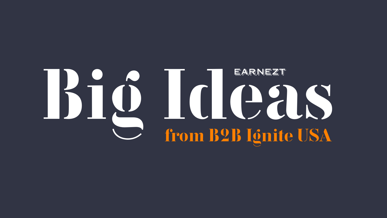

# Big Ideas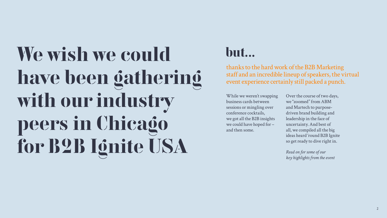# We wish we could have been gathering with our industry peers in Chicago for [B2B Ignite USA](http://www.b2bigniteusa.com/bigniteusa.com/)

thanks to the hard work of the B2B Marketing staff and an incredible lineup of speakers, the virtual event experience certainly still packed a punch.

# but...

*Read on for some of our key highlights from the event*



While we weren't swapping business cards between sessions or mingling over conference cocktails, we got all the B2B insights we could have hoped for – and then some.

Over the course of two days, we "zoomed" from ABM and Martech to purposedriven brand building and leadership in the face of uncertainty. And best of all, we compiled all the big ideas heard 'round B2B Ignite so get ready to dive right in.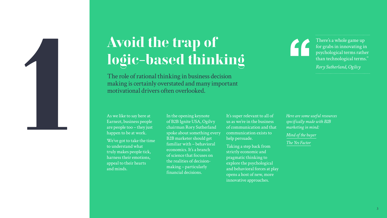The role of rational thinking in business decision making is certainly overstated and many important motivational drivers often overlooked.

There's a whole game up for grabs in innovating in psychological terms rather than technological terms.''

*Rory Sutherland, Ogilvy*

As we like to say here at Earnezt, business people are people too – they just happen to be at work.

We've got to take the time to understand what truly makes people tick, harness their emotions, appeal to their hearts and minds.

In the opening keynote of B2B Ignite USA, Ogilvy chairman Rory Sutherland spoke about something every B2B marketer should get familiar with – behavioral economics. It's a branch of science that focuses on the realities of decisionmaking – particularly financial decisions.

It's super relevant to all of us as we're in the business of communication and that communication exists to help persuade.

Taking a step back from strictly economic and pragmatic thinking to explore the psychological and behavioral forces at play opens a host of new, more innovative approaches.



# logic-based thinking

*Here are some useful resources specifically made with B2B marketing in mind:* 

*[Mind of the buyer](http://earnest-agency.com/wp-content/uploads/2017/05/Insidethemindofthebuyer.pdf)* 

*[The Yes Factor](https://earnest-agency.com/ideas-and-insight/the-yes-factor-how-to-persuade-buyers/ )*

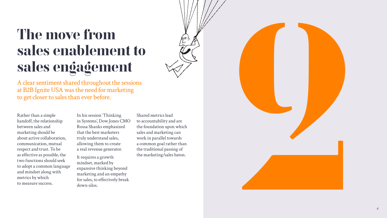

A clear sentiment shared throughout the sessions at B2B Ignite USA was the need for marketing to get closer to sales than ever before.

Rather than a simple handoff, the relationship between sales and marketing should be about active collaboration, communication, mutual respect and trust. To be as effective as possible, the two functions should seek to adopt a common language and mindset along with metrics by which to measure success.

# The move from sales enablement to sales engagement



In his session 'Thinking in Systems', Dow Jones CMO Rossa Shanks emphasized that the best marketers truly understand sales, allowing them to create a real revenue generator.

It requires a growth mindset, marked by expansive thinking beyond marketing and an empathy for sales, to effectively break down silos.

Shared metrics lead to accountability and are the foundation upon which sales and marketing can work in parallel towards a common goal rather than the traditional passing of the marketing/sales baton.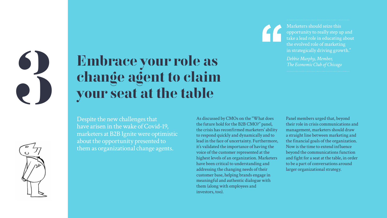# Embrace your role as change agent to claim your seat at the table

Despite the new challenges that have arisen in the wake of Covid-19, marketers at B2B Ignite were optimistic about the opportunity presented to them as organizational change agents.

As discussed by CMOs on the "What does the future hold for the B2B CMO?" panel, the crisis has reconfirmed marketers' ability to respond quickly and dynamically and to lead in the face of uncertainty. Furthermore, it's validated the importance of having the voice of the customer represented at the highest levels of an organization. Marketers have been critical to understanding and addressing the changing needs of their customer base, helping brands engage in meaningful and authentic dialogue with them (along with employees and investors, too).

Panel members urged that, beyond their role in crisis communications and management, marketers should draw a straight line between marketing and the financial goals of the organization. Now is the time to extend influence beyond the communications function and fight for a seat at the table, in order to be a part of conversations around larger organizational strategy.

Marketers should seize this opportunity to really step up and take a lead role in educating about the evolved role of marketing in strategically driving growth."

*Debbie Murphy, Member, The Economic Club of Chicago*



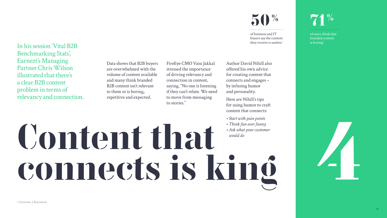# Content that **Figure 14** connects is king

In his session 'Vital B2B Benchmarking Stats', Earnezt's Managing Partner Chris Wilson illustrated that there's a clear B2B content problem in terms of relevancy and connection.

Data shows that B2B buyers are overwhelmed with the volume of content available and many think branded B2B content isn't relevant to them or is boring, repetitive and expected.

of business and IT buyers say the content they receive is useless<sup>1</sup>

FireEye CMO Vasu Jakkal stressed the importance of driving relevancy and connection in content, saying, "No one is listening if they can't relate. We need to move from messaging

to stories."

of execs think that branded content is boring2





Author David Nihill also offered his own advice for creating content that connects and engages – by infusing humor and personality.

Here are Nihill's tips for using humor to craft content that connects:

- *Start with pain points*
- *Think fun over funny*
- *Ask what your customer would do*

# $\frac{0}{10}$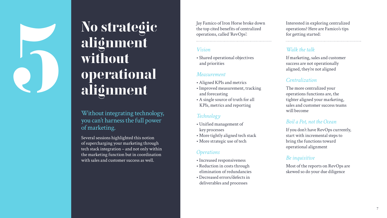

# No strategic alignment without operational alignment No strategic<br>
alignment<br>
without<br>
without<br>
alignment<br>
alignment<br>
alignment<br>
alignment<br>
alignment<br>
alignment<br>
alignment<br>
<br>
Without integrating technology,<br>
Factured and reporting<br>  $\frac{Marginal RETS and meroticAligenmer, trackingand forecastingRPSs, metric and reportingKPSs, metric and reporting$

Without integrating technology, you can't harness the full power of marketing.

Several sessions highlighted this notion of supercharging your marketing through tech stack integration – and not only within the marketing function but in coordination with sales and customer success as well.

the top cited benefits of centralized operations, called 'RevOps':

## *Vision*

• Shared operational objectives and priorities

## *Measurement*

- Aligned KPIs and metrics
- Improved measurement, tracking and forecasting
- A single source of truth for all KPIs, metrics and reporting

# *Technology*

- Unified management of key processes
- More tightly aligned tech stack
- More strategic use of tech

# *Operations*

- Increased responsiveness
- Reduction in costs through elimination of redundancies
- Decreased errors/defects in deliverables and processes

Interested in exploring centralized operations? Here are Famico's tips for getting started:

# *Walk the talk*

If marketing, sales and customer success are not operationally aligned, they're not aligned

# *Centralization*

The more centralized your operations functions are, the tighter aligned your marketing, sales and customer success teams will become

# *Boil a Pot, not the Ocean*

If you don't have RevOps currently, start with incremental steps to bring the functions toward operational alignment

# *Be inquisitive*

Most of the reports on RevOps are skewed so do your due diligence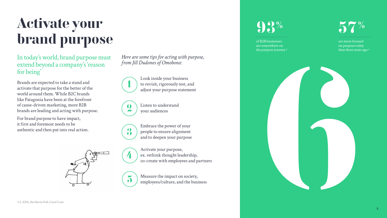









# Activate your brand purpose

In today's world, brand purpose must extend beyond a company's 'reason for being'

Brands are expected to take a stand and activate that purpose for the better of the world around them. While B2C brands like Patagonia have been at the forefront of cause-driven marketing, more B2B brands are leading and acting with purpose.

For brand purpose to have impact, it first and foremost needs to be authentic and then put into real action.

*Here are some tips for acting with purpose, from Jill Dudones of Omobono:* 

> Look inside your business to revisit, rigorously test, and adjust your purpose statement

Activate your purpose, ex. rethink thought leadership, co-create with employees and partners

Listen to understand your audiences

Measure the impact on society, employees/culture, and the business



Embrace the power of your people to ensure alignment and to deepen your purpose

# 93%

of B2B businesses are somewhere on the purpose journey 3

# 57 %

are more focused on purpose today than three years ago 4

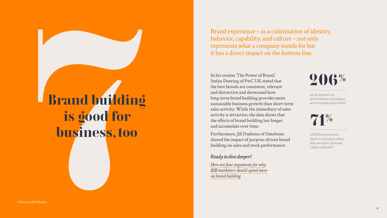

Brand experience – as a culmination of identity, behavior, capability, and culture – not only represents what a company stands for but it has a direct impact on the bottom line.



71 %

stock market out performance of purpose active brands since 2010 5

of B2B buyers more likely to purchase when they see their personal values reflected 6

# Brand building<br>is good for<br>business, too Brand building is good for business, too

In his session 'The Power of Brand,' Stefan Doering of PwC UK stated that the best brands are consistent, relevant and distinctive and showcased how long-term brand building provides more sustainable business growth than short-term sales activity. While the immediacy of sales activity is attractive, the data shows that the effects of brand building last longer and accumulate over time.

Furthermore, Jill Dudones of Omobono shared the impact of purpose-driven brand building on sales and stock performance:

## *Ready to dive deeper?*

*Here are four arguments for why [B2B marketers should spend more](https://earnest-agency.com/ideas-and-insight/b2b-marketers-should-spend-more-on-brand-building/ )  on brand building*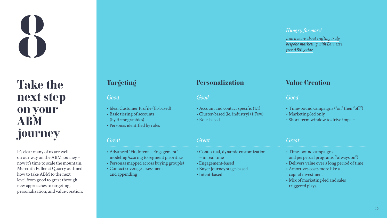# *Hungry for n*<br>*Learn more abo*<br>*bespoke market*<br>*free ABM guide*

# Take the next step on your ABM journey

# Targeting Personalization Value Creation

It's clear many of us are well on our way on the ABM journey – now it's time to scale the mountain. Meredith Fuller at Quarry outlined how to take ABM to the next level from good to great through new approaches to targeting, personalization, and value creation:

- Account and contact specific (1:1)
- Cluster-based (ie. industry) (1:Few)
- Role-based
- Ideal Customer Profile (fit-based)
- Basic tiering of accounts (by firmographics)
- Personas identified by roles

- Time-bound campaigns ("on" then "off")
- Marketing-led only
- Short-term window to drive impact

- Advanced "Fit, Intent + Engagement" modeling/scoring to segment prioritize
- Personas mapped across buying group(s)
- Contact coverage assessment and appending
- Contextual, dynamic customization – in real time
- Engagement-based
- Buyer journey stage-based
- Intent-based
- Time-bound campaigns and perpetual programs ("always on")
- Delivers value over a long period of time
- Amortizes costs more like a capital investment
- Mix of marketing-led and sales triggered plays



# *Good Good Good*

# *Great Great Great*

## *Hungry for more?*

*Learn more about crafting truly [bespoke marketing with Earnezt's](https://earnest-agency.com/ideas-and-insight/define-abm-amazingly-bespoke-marketing/)*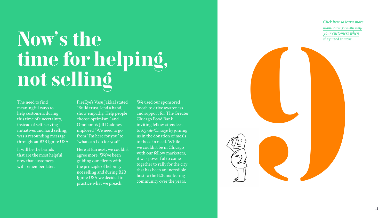

- 
- 
- 
- 
- 
- 

The need to find meaningful ways to help customers during this time of uncertainty, instead of self-serving initiatives and hard selling, was a resounding message throughout B2B Ignite USA.

It will be the brands that are the most helpful now that customers will remember later.

FireEye's Vasu Jakkal stated "Build trust, lend a hand, show empathy. Help people choose optimism." and Omobono's Jill Dudones implored "We need to go from "I'm here for you" to "what can I do for you?"

Here at Earnezt, we couldn't agree more. We've been guiding our clients with the principle of helping, not selling and during B2B Ignite USA we decided to practice what we preach.

# $N_{\rm F}$  is the *y* need it most the *they need it most* time for helping, not selling

We used our sponsored booth to drive awareness and support for The Greater Chicago Food Bank, inviting fellow attendees to *[#Ignite4Chicago](https://earnest-agency.com/ignite4chicago/)* by joining us in the donation of meals to those in need. While we couldn't be in Chicago with our fellow marketers, it was powerful to come together to rally for the city that has been an incredible host to the B2B marketing community over the years.

*Click here to learn more about how you can help your customers when*